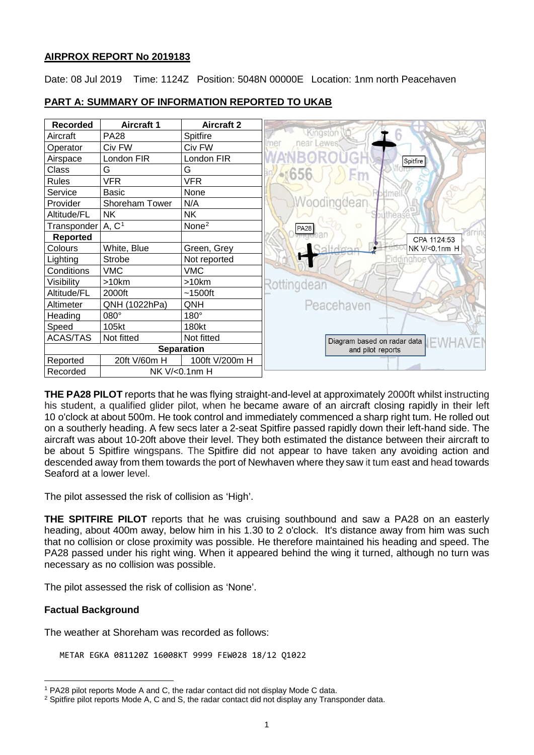## **AIRPROX REPORT No 2019183**

Date: 08 Jul 2019 Time: 1124Z Position: 5048N 00000E Location: 1nm north Peacehaven



### **PART A: SUMMARY OF INFORMATION REPORTED TO UKAB**

**THE PA28 PILOT** reports that he was flying straight-and-level at approximately 2000ft whilst instructing his student, a qualified glider pilot, when he became aware of an aircraft closing rapidly in their left 10 o'clock at about 500m. He took control and immediately commenced a sharp right tum. He rolled out on a southerly heading. A few secs later a 2-seat Spitfire passed rapidly down their left-hand side. The aircraft was about 10-20ft above their level. They both estimated the distance between their aircraft to be about 5 Spitfire wingspans. The Spitfire did not appear to have taken any avoiding action and descended away from them towards the port of Newhaven where they saw it tum east and head towards Seaford at a lower level.

The pilot assessed the risk of collision as 'High'.

**THE SPITFIRE PILOT** reports that he was cruising southbound and saw a PA28 on an easterly heading, about 400m away, below him in his 1.30 to 2 o'clock. It's distance away from him was such that no collision or close proximity was possible. He therefore maintained his heading and speed. The PA28 passed under his right wing. When it appeared behind the wing it turned, although no turn was necessary as no collision was possible.

The pilot assessed the risk of collision as 'None'.

## **Factual Background**

 $\overline{\phantom{a}}$ 

The weather at Shoreham was recorded as follows:

METAR EGKA 081120Z 16008KT 9999 FEW028 18/12 Q1022

<span id="page-0-0"></span><sup>1</sup> PA28 pilot reports Mode A and C, the radar contact did not display Mode C data.

<span id="page-0-1"></span> $2$  Spitfire pilot reports Mode A, C and S, the radar contact did not display any Transponder data.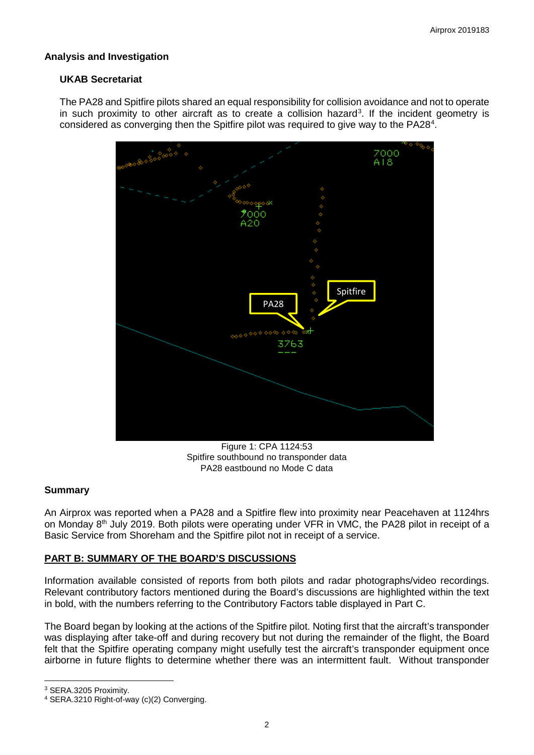## **Analysis and Investigation**

## **UKAB Secretariat**

The PA28 and Spitfire pilots shared an equal responsibility for collision avoidance and not to operate in such proximity to other aircraft as to create a collision hazard<sup>[3](#page-1-0)</sup>. If the incident geometry is considered as converging then the Spitfire pilot was required to give way to the PA28<sup>[4](#page-1-1)</sup>.



Figure 1: CPA 1124:53 Spitfire southbound no transponder data PA28 eastbound no Mode C data

# **Summary**

An Airprox was reported when a PA28 and a Spitfire flew into proximity near Peacehaven at 1124hrs on Monday 8<sup>th</sup> July 2019. Both pilots were operating under VFR in VMC, the PA28 pilot in receipt of a Basic Service from Shoreham and the Spitfire pilot not in receipt of a service.

# **PART B: SUMMARY OF THE BOARD'S DISCUSSIONS**

Information available consisted of reports from both pilots and radar photographs/video recordings. Relevant contributory factors mentioned during the Board's discussions are highlighted within the text in bold, with the numbers referring to the Contributory Factors table displayed in Part C.

The Board began by looking at the actions of the Spitfire pilot. Noting first that the aircraft's transponder was displaying after take-off and during recovery but not during the remainder of the flight, the Board felt that the Spitfire operating company might usefully test the aircraft's transponder equipment once airborne in future flights to determine whether there was an intermittent fault. Without transponder

<span id="page-1-0"></span><sup>3</sup> SERA.3205 Proximity.

 $\overline{\phantom{a}}$ 

<span id="page-1-1"></span><sup>4</sup> SERA.3210 Right-of-way (c)(2) Converging.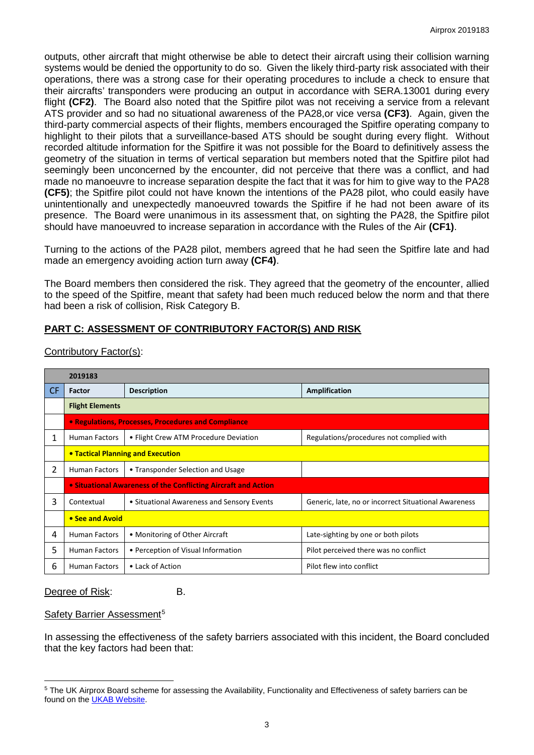outputs, other aircraft that might otherwise be able to detect their aircraft using their collision warning systems would be denied the opportunity to do so. Given the likely third-party risk associated with their operations, there was a strong case for their operating procedures to include a check to ensure that their aircrafts' transponders were producing an output in accordance with SERA.13001 during every flight **(CF2)**. The Board also noted that the Spitfire pilot was not receiving a service from a relevant ATS provider and so had no situational awareness of the PA28,or vice versa **(CF3)**. Again, given the third-party commercial aspects of their flights, members encouraged the Spitfire operating company to highlight to their pilots that a surveillance-based ATS should be sought during every flight. Without recorded altitude information for the Spitfire it was not possible for the Board to definitively assess the geometry of the situation in terms of vertical separation but members noted that the Spitfire pilot had seemingly been unconcerned by the encounter, did not perceive that there was a conflict, and had made no manoeuvre to increase separation despite the fact that it was for him to give way to the PA28 **(CF5)**; the Spitfire pilot could not have known the intentions of the PA28 pilot, who could easily have unintentionally and unexpectedly manoeuvred towards the Spitfire if he had not been aware of its presence. The Board were unanimous in its assessment that, on sighting the PA28, the Spitfire pilot should have manoeuvred to increase separation in accordance with the Rules of the Air **(CF1)**.

Turning to the actions of the PA28 pilot, members agreed that he had seen the Spitfire late and had made an emergency avoiding action turn away **(CF4)**.

The Board members then considered the risk. They agreed that the geometry of the encounter, allied to the speed of the Spitfire, meant that safety had been much reduced below the norm and that there had been a risk of collision, Risk Category B.

# **PART C: ASSESSMENT OF CONTRIBUTORY FACTOR(S) AND RISK**

| 2019183   |                                                                |                                            |                                                      |
|-----------|----------------------------------------------------------------|--------------------------------------------|------------------------------------------------------|
| <b>CF</b> | Factor                                                         | <b>Description</b>                         | Amplification                                        |
|           | <b>Flight Elements</b>                                         |                                            |                                                      |
|           | • Regulations, Processes, Procedures and Compliance            |                                            |                                                      |
|           | <b>Human Factors</b>                                           | • Flight Crew ATM Procedure Deviation      | Regulations/procedures not complied with             |
|           | <b>• Tactical Planning and Execution</b>                       |                                            |                                                      |
| 2         | <b>Human Factors</b>                                           | • Transponder Selection and Usage          |                                                      |
|           | • Situational Awareness of the Conflicting Aircraft and Action |                                            |                                                      |
| 3         | Contextual                                                     | • Situational Awareness and Sensory Events | Generic, late, no or incorrect Situational Awareness |
|           | • See and Avoid                                                |                                            |                                                      |
| 4         | <b>Human Factors</b>                                           | • Monitoring of Other Aircraft             | Late-sighting by one or both pilots                  |
| 5         | <b>Human Factors</b>                                           | • Perception of Visual Information         | Pilot perceived there was no conflict                |
| 6         | Human Factors                                                  | • Lack of Action                           | Pilot flew into conflict                             |

Contributory Factor(s):

#### Degree of Risk: B.

 $\overline{\phantom{a}}$ 

#### Safety Barrier Assessment<sup>[5](#page-2-0)</sup>

In assessing the effectiveness of the safety barriers associated with this incident, the Board concluded that the key factors had been that:

<span id="page-2-0"></span><sup>&</sup>lt;sup>5</sup> The UK Airprox Board scheme for assessing the Availability, Functionality and Effectiveness of safety barriers can be found on the UKAB [Website.](http://www.airproxboard.org.uk/Learn-more/Airprox-Barrier-Assessment/)